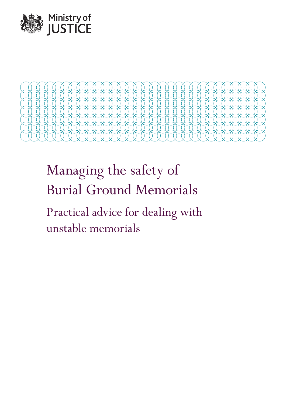



# Managing the safety of Burial Ground Memorials

Practical advice for dealing with unstable memorials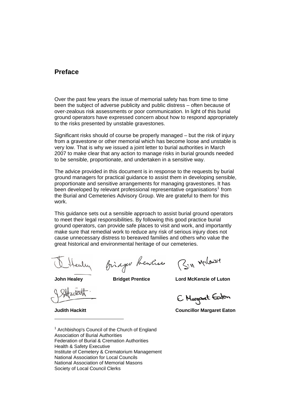## **Preface**

Over the past few years the issue of memorial safety has from time to time been the subject of adverse publicity and public distress – often because of over-zealous risk assessments or poor communication. In light of this burial ground operators have expressed concern about how to respond appropriately to the risks presented by unstable gravestones.

Significant risks should of course be properly managed – but the risk of injury from a gravestone or other memorial which has become loose and unstable is very low. That is why we issued a joint letter to burial authorities in March 2007 to make clear that any action to manage risks in burial grounds needed to be sensible, proportionate, and undertaken in a sensitive way.

The advice provided in this document is in response to the requests by burial ground managers for practical guidance to assist them in developing sensible, proportionate and sensitive arrangements for managing gravestones. It has been developed by relevant professional representative organisations<sup>[1](#page-1-0)</sup> from the Burial and Cemeteries Advisory Group. We are grateful to them for this work.

This guidance sets out a sensible approach to assist burial ground operators to meet their legal responsibilities. By following this good practice burial ground operators, can provide safe places to visit and work, and importantly make sure that remedial work to reduce any risk of serious injury does not cause unnecessary distress to bereaved families and others who value the great historical and environmental heritage of our cemeteries.

ealy

Binager Rentier (3:11 Merlewirt

**John Healey Bridget Prentice Lord McKenzie of Luton** 

**Judith Hackitt** 

E. Margaret Eaton

**Councillor Margaret Eaton**

<span id="page-1-0"></span><sup>1</sup> Archbishop's Council of the Church of England Association of Burial Authorities Federation of Burial & Cremation Authorities Health & Safety Executive Institute of Cemetery & Crematorium Management National Association for Local Councils National Association of Memorial Masons Society of Local Council Clerks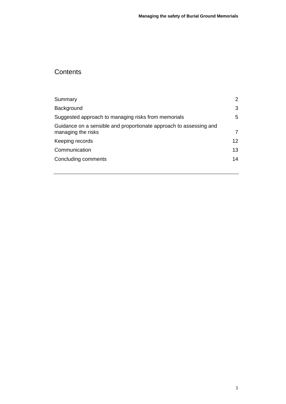# **Contents**

| Summary                                                                                  | 2  |
|------------------------------------------------------------------------------------------|----|
| Background<br>Suggested approach to managing risks from memorials                        | 3  |
|                                                                                          | 5  |
| Guidance on a sensible and proportionate approach to assessing and<br>managing the risks | 7  |
| Keeping records                                                                          | 12 |
| Communication                                                                            | 13 |
| Concluding comments                                                                      | 14 |
|                                                                                          |    |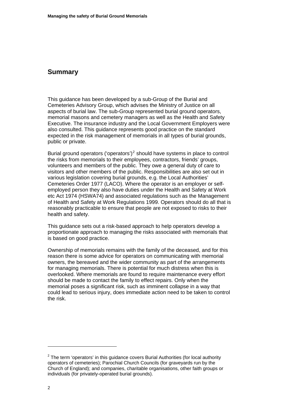## <span id="page-3-0"></span>**Summary**

This guidance has been developed by a sub-Group of the Burial and Cemeteries Advisory Group, which advises the Ministry of Justice on all aspects of burial law. The sub-Group represented burial ground operators, memorial masons and cemetery managers as well as the Health and Safety Executive. The insurance industry and the Local Government Employers were also consulted. This guidance represents good practice on the standard expected in the risk management of memorials in all types of burial grounds, public or private.

Burial ground operators ('operators')<sup>[2](#page-3-1)</sup> should have systems in place to control the risks from memorials to their employees, contractors, friends' groups, volunteers and members of the public. They owe a general duty of care to visitors and other members of the public. Responsibilities are also set out in various legislation covering burial grounds, e.g. the Local Authorities' Cemeteries Order 1977 (LACO). Where the operator is an employer or selfemployed person they also have duties under the Health and Safety at Work etc Act 1974 (HSWA74) and associated regulations such as the Management of Health and Safety at Work Regulations 1999. Operators should do all that is reasonably practicable to ensure that people are not exposed to risks to their health and safety.

This guidance sets out a risk-based approach to help operators develop a proportionate approach to managing the risks associated with memorials that is based on good practice.

Ownership of memorials remains with the family of the deceased, and for this reason there is some advice for operators on communicating with memorial owners, the bereaved and the wider community as part of the arrangements for managing memorials. There is potential for much distress when this is overlooked. Where memorials are found to require maintenance every effort should be made to contact the family to effect repairs. Only when the memorial poses a significant risk, such as imminent collapse in a way that could lead to serious injury, does immediate action need to be taken to control the risk.

<span id="page-3-1"></span> $2$  The term 'operators' in this guidance covers Burial Authorities (for local authority operators of cemeteries); Parochial Church Councils (for graveyards run by the Church of England); and companies, charitable organisations, other faith groups or individuals (for privately-operated burial grounds).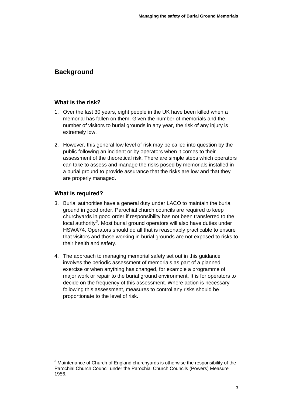## <span id="page-4-0"></span>**Background**

#### **What is the risk?**

- 1. Over the last 30 years, eight people in the UK have been killed when a memorial has fallen on them. Given the number of memorials and the number of visitors to burial grounds in any year, the risk of any injury is extremely low.
- 2. However, this general low level of risk may be called into question by the public following an incident or by operators when it comes to their assessment of the theoretical risk. There are simple steps which operators can take to assess and manage the risks posed by memorials installed in a burial ground to provide assurance that the risks are low and that they are properly managed.

#### **What is required?**

- 3. Burial authorities have a general duty under LACO to maintain the burial ground in good order. Parochial church councils are required to keep churchyards in good order if responsibility has not been transferred to the local authority<sup>[3](#page-4-1)</sup>. Most burial ground operators will also have duties under HSWA74. Operators should do all that is reasonably practicable to ensure that visitors and those working in burial grounds are not exposed to risks to their health and safety.
- 4. The approach to managing memorial safety set out in this guidance involves the periodic assessment of memorials as part of a planned exercise or when anything has changed, for example a programme of major work or repair to the burial ground environment. It is for operators to decide on the frequency of this assessment. Where action is necessary following this assessment, measures to control any risks should be proportionate to the level of risk.

<span id="page-4-1"></span> $3$  Maintenance of Church of England churchyards is otherwise the responsibility of the Parochial Church Council under the Parochial Church Councils (Powers) Measure 1956.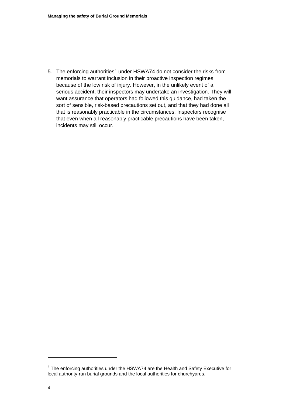5. The enforcing authorities $4$  under HSWA74 do not consider the risks from memorials to warrant inclusion in their proactive inspection regimes because of the low risk of injury. However, in the unlikely event of a serious accident, their inspectors may undertake an investigation. They will want assurance that operators had followed this guidance, had taken the sort of sensible, risk-based precautions set out, and that they had done all that is reasonably practicable in the circumstances. Inspectors recognise that even when all reasonably practicable precautions have been taken, incidents may still occur.

 $\overline{a}$ 

<span id="page-5-0"></span> $4$  The enforcing authorities under the HSWA74 are the Health and Safety Executive for local authority-run burial grounds and the local authorities for churchyards.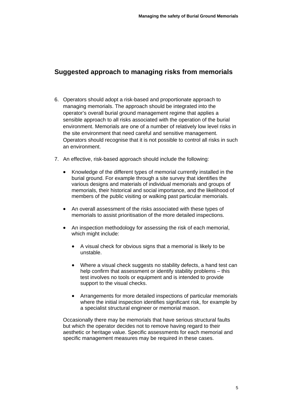## <span id="page-6-0"></span>**Suggested approach to managing risks from memorials**

- 6. Operators should adopt a risk-based and proportionate approach to managing memorials. The approach should be integrated into the operator's overall burial ground management regime that applies a sensible approach to all risks associated with the operation of the burial environment. Memorials are one of a number of relatively low level risks in the site environment that need careful and sensitive management. Operators should recognise that it is not possible to control all risks in such an environment.
- 7. An effective, risk-based approach should include the following:
	- Knowledge of the different types of memorial currently installed in the burial ground. For example through a site survey that identifies the various designs and materials of individual memorials and groups of memorials, their historical and social importance, and the likelihood of members of the public visiting or walking past particular memorials.
	- An overall assessment of the risks associated with these types of memorials to assist prioritisation of the more detailed inspections.
	- An inspection methodology for assessing the risk of each memorial, which might include:
		- A visual check for obvious signs that a memorial is likely to be unstable.
		- Where a visual check suggests no stability defects, a hand test can help confirm that assessment or identify stability problems – this test involves no tools or equipment and is intended to provide support to the visual checks.
		- Arrangements for more detailed inspections of particular memorials where the initial inspection identifies significant risk, for example by a specialist structural engineer or memorial mason.

Occasionally there may be memorials that have serious structural faults but which the operator decides not to remove having regard to their aesthetic or heritage value. Specific assessments for each memorial and specific management measures may be required in these cases.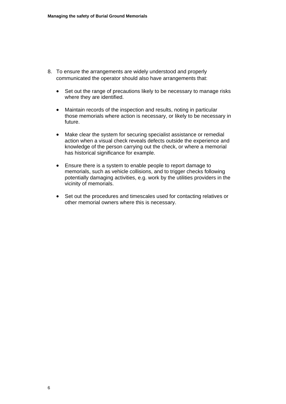- 8. To ensure the arrangements are widely understood and properly communicated the operator should also have arrangements that:
	- Set out the range of precautions likely to be necessary to manage risks where they are identified.
	- Maintain records of the inspection and results, noting in particular those memorials where action is necessary, or likely to be necessary in future.
	- Make clear the system for securing specialist assistance or remedial action when a visual check reveals defects outside the experience and knowledge of the person carrying out the check, or where a memorial has historical significance for example.
	- Ensure there is a system to enable people to report damage to memorials, such as vehicle collisions, and to trigger checks following potentially damaging activities, e.g. work by the utilities providers in the vicinity of memorials.
	- Set out the procedures and timescales used for contacting relatives or other memorial owners where this is necessary.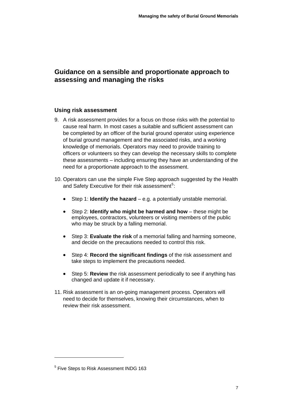## <span id="page-8-0"></span>**Guidance on a sensible and proportionate approach to assessing and managing the risks**

#### **Using risk assessment**

- 9. A risk assessment provides for a focus on those risks with the potential to cause real harm. In most cases a suitable and sufficient assessment can be completed by an officer of the burial ground operator using experience of burial ground management and the associated risks, and a working knowledge of memorials. Operators may need to provide training to officers or volunteers so they can develop the necessary skills to complete these assessments – including ensuring they have an understanding of the need for a proportionate approach to the assessment.
- 10. Operators can use the simple Five Step approach suggested by the Health and Safety Executive for their risk assessment<sup>[5](#page-8-1)</sup>:
	- Step 1: **Identify the hazard** e.g. a potentially unstable memorial.
	- Step 2: **Identify who might be harmed and how** – these might be employees, contractors, volunteers or visiting members of the public who may be struck by a falling memorial.
	- Step 3: **Evaluate the risk** of a memorial falling and harming someone, and decide on the precautions needed to control this risk.
	- Step 4: **Record the significant findings** of the risk assessment and take steps to implement the precautions needed.
	- Step 5: **Review** the risk assessment periodically to see if anything has changed and update it if necessary.
- 11. Risk assessment is an on-going management process. Operators will need to decide for themselves, knowing their circumstances, when to review their risk assessment.

 $\overline{a}$ 

<span id="page-8-1"></span><sup>&</sup>lt;sup>5</sup> Five Steps to Risk Assessment INDG 163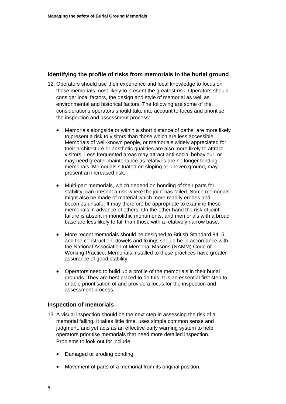#### **Identifying the profile of risks from memorials in the burial ground**

- 12. Operators should use their experience and local knowledge to focus on those memorials most likely to present the greatest risk. Operators should consider local factors, the design and style of memorial as well as environmental and historical factors. The following are some of the considerations operators should take into account to focus and prioritise the inspection and assessment process:
	- Memorials alongside or within a short distance of paths, are more likely to present a risk to visitors than those which are less accessible. Memorials of well-known people, or memorials widely appreciated for their architecture or aesthetic qualities are also more likely to attract visitors. Less frequented areas may attract anti-social behaviour, or may need greater maintenance as relatives are no longer tending memorials. Memorials situated on sloping or uneven ground, may present an increased risk.
	- Multi-part memorials, which depend on bonding of their parts for stability, can present a risk where the joint has failed. Some memorials might also be made of material which more readily erodes and becomes unsafe. It may therefore be appropriate to examine these memorials in advance of others. On the other hand the risk of joint failure is absent in monolithic monuments, and memorials with a broad base are less likely to fall than those with a relatively narrow base.
	- More recent memorials should be designed to British Standard 8415, and the construction, dowels and fixings should be in accordance with the National Association of Memorial Masons (NAMM) Code of Working Practice. Memorials installed to these practices have greater assurance of good stability.
	- Operators need to build up a profile of the memorials in their burial grounds. They are best placed to do this. It is an essential first step to enable prioritisation of and provide a focus for the inspection and assessment process.

#### **Inspection of memorials**

- 13. A visual inspection should be the next step in assessing the risk of a memorial falling. It takes little time, uses simple common sense and judgment, and yet acts as an effective early warning system to help operators prioritise memorials that need more detailed inspection. Problems to look out for include:
	- Damaged or eroding bonding.
	- Movement of parts of a memorial from its original position.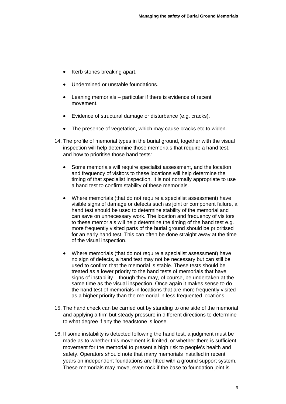- Kerb stones breaking apart.
- Undermined or unstable foundations.
- Leaning memorials particular if there is evidence of recent movement.
- Evidence of structural damage or disturbance (e.g. cracks).
- The presence of vegetation, which may cause cracks etc to widen.
- 14. The profile of memorial types in the burial ground, together with the visual inspection will help determine those memorials that require a hand test, and how to prioritise those hand tests:
	- Some memorials will require specialist assessment, and the location and frequency of visitors to these locations will help determine the timing of that specialist inspection. It is not normally appropriate to use a hand test to confirm stability of these memorials.
	- Where memorials (that do not require a specialist assessment) have visible signs of damage or defects such as joint or component failure, a hand test should be used to determine stability of the memorial and can save on unnecessary work. The location and frequency of visitors to these memorials will help determine the timing of the hand test e.g. more frequently visited parts of the burial ground should be prioritised for an early hand test. This can often be done straight away at the time of the visual inspection.
	- Where memorials (that do not require a specialist assessment) have no sign of defects, a hand test may not be necessary but can still be used to confirm that the memorial is stable. These tests should be treated as a lower priority to the hand tests of memorials that have signs of instability – though they may, of course, be undertaken at the same time as the visual inspection. Once again it makes sense to do the hand test of memorials in locations that are more frequently visited as a higher priority than the memorial in less frequented locations.
- 15. The hand check can be carried out by standing to one side of the memorial and applying a firm but steady pressure in different directions to determine to what degree if any the headstone is loose.
- 16. If some instability is detected following the hand test, a judgment must be made as to whether this movement is limited, or whether there is sufficient movement for the memorial to present a high risk to people's health and safety. Operators should note that many memorials installed in recent years on independent foundations are fitted with a ground support system. These memorials may move, even rock if the base to foundation joint is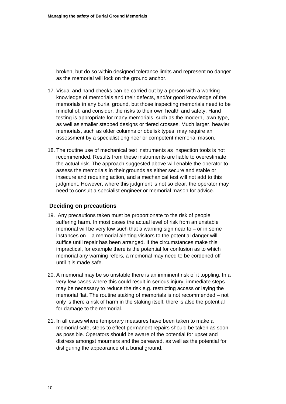broken, but do so within designed tolerance limits and represent no danger as the memorial will lock on the ground anchor.

- 17. Visual and hand checks can be carried out by a person with a working knowledge of memorials and their defects, and/or good knowledge of the memorials in any burial ground, but those inspecting memorials need to be mindful of, and consider, the risks to their own health and safety. Hand testing is appropriate for many memorials, such as the modern, lawn type, as well as smaller stepped designs or tiered crosses. Much larger, heavier memorials, such as older columns or obelisk types, may require an assessment by a specialist engineer or competent memorial mason.
- 18. The routine use of mechanical test instruments as inspection tools is not recommended. Results from these instruments are liable to overestimate the actual risk. The approach suggested above will enable the operator to assess the memorials in their grounds as either secure and stable or insecure and requiring action, and a mechanical test will not add to this judgment. However, where this judgment is not so clear, the operator may need to consult a specialist engineer or memorial mason for advice.

#### **Deciding on precautions**

- 19. Any precautions taken must be proportionate to the risk of people suffering harm. In most cases the actual level of risk from an unstable memorial will be very low such that a warning sign near to  $-$  or in some instances on – a memorial alerting visitors to the potential danger will suffice until repair has been arranged. If the circumstances make this impractical, for example there is the potential for confusion as to which memorial any warning refers, a memorial may need to be cordoned off until it is made safe.
- 20. A memorial may be so unstable there is an imminent risk of it toppling. In a very few cases where this could result in serious injury, immediate steps may be necessary to reduce the risk e.g. restricting access or laying the memorial flat. The routine staking of memorials is not recommended – not only is there a risk of harm in the staking itself, there is also the potential for damage to the memorial.
- 21. In all cases where temporary measures have been taken to make a memorial safe, steps to effect permanent repairs should be taken as soon as possible. Operators should be aware of the potential for upset and distress amongst mourners and the bereaved, as well as the potential for disfiguring the appearance of a burial ground.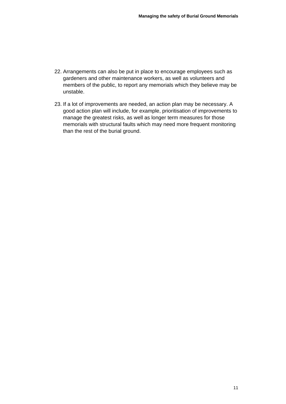- 22. Arrangements can also be put in place to encourage employees such as gardeners and other maintenance workers, as well as volunteers and members of the public, to report any memorials which they believe may be unstable.
- 23. If a lot of improvements are needed, an action plan may be necessary. A good action plan will include, for example, prioritisation of improvements to manage the greatest risks, as well as longer term measures for those memorials with structural faults which may need more frequent monitoring than the rest of the burial ground.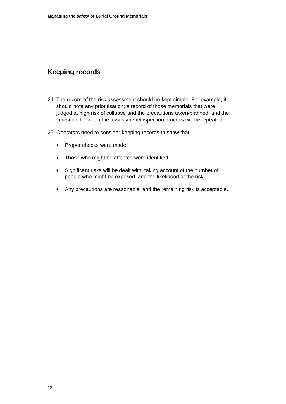## <span id="page-13-0"></span>**Keeping records**

- 24. The record of the risk assessment should be kept simple. For example, it should note any prioritisation; a record of those memorials that were judged at high risk of collapse and the precautions taken/planned; and the timescale for when the assessment/inspection process will be repeated.
- 25. Operators need to consider keeping records to show that:
	- Proper checks were made.
	- Those who might be affected were identified.
	- Significant risks will be dealt with, taking account of the number of people who might be exposed, and the likelihood of the risk.
	- Any precautions are reasonable, and the remaining risk is acceptable.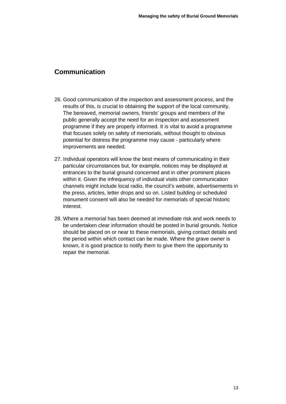## <span id="page-14-0"></span>**Communication**

- 26. Good communication of the inspection and assessment process, and the results of this, is crucial to obtaining the support of the local community. The bereaved, memorial owners, friends' groups and members of the public generally accept the need for an inspection and assessment programme if they are properly informed. It is vital to avoid a programme that focuses solely on safety of memorials, without thought to obvious potential for distress the programme may cause - particularly where improvements are needed.
- 27. Individual operators will know the best means of communicating in their particular circumstances but, for example, notices may be displayed at entrances to the burial ground concerned and in other prominent places within it. Given the infrequency of individual visits other communication channels might include local radio, the council's website, advertisements in the press, articles, letter drops and so on. Listed building or scheduled monument consent will also be needed for memorials of special historic interest.
- 28. Where a memorial has been deemed at immediate risk and work needs to be undertaken clear information should be posted in burial grounds. Notice should be placed on or near to these memorials, giving contact details and the period within which contact can be made. Where the grave owner is known, it is good practice to notify them to give them the opportunity to repair the memorial.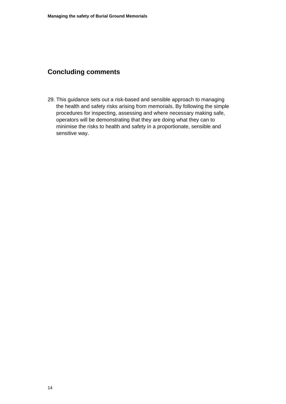# <span id="page-15-0"></span>**Concluding comments**

29. This guidance sets out a risk-based and sensible approach to managing the health and safety risks arising from memorials. By following the simple procedures for inspecting, assessing and where necessary making safe, operators will be demonstrating that they are doing what they can to minimise the risks to health and safety in a proportionate, sensible and sensitive way.